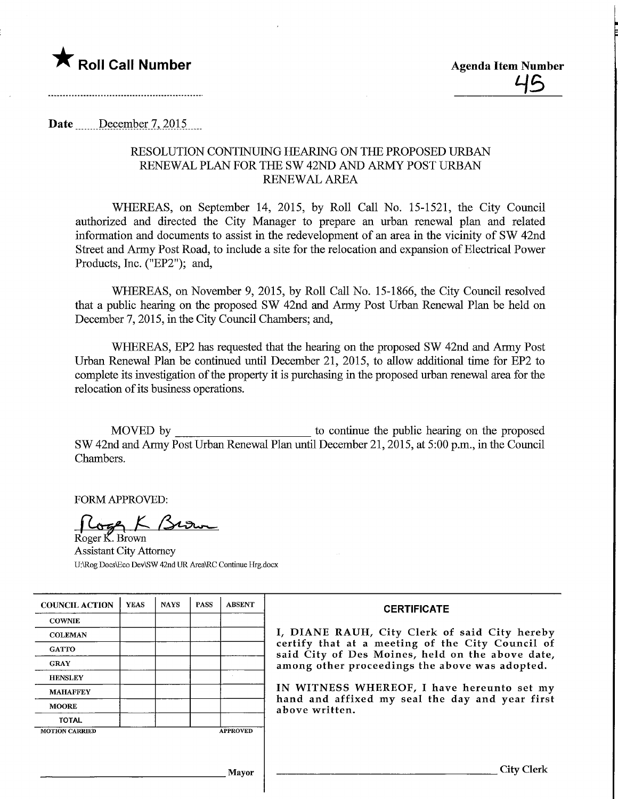

Date December 7, 2015

## RESOLUTION CONTINUING HEARING ON THE PROPOSED URBAN RENEWAL PLAN FOR THE SW 42ND AND ARMY POST URBAN RENEWAL AREA

WHEREAS, on September 14, 2015, by Roll Call No. 15-1521, the City Council authorized and directed the City Manager to prepare an urban renewal plan and related information and documents to assist in the redevelopment of an area in the vicinity of SW 42nd Street and Army Post Road, to include a site for the relocation and expansion of Electrical Power Products, Inc. ("EP2"); and,

WHEREAS, on November 9, 2015, by Roll Call No. 15-1866, the City Council resolved that a public hearing on the proposed SW 42nd and Anny Post Urban Renewal Plan be held on December 7, 2015, in the City Council Chambers; and,

WHEREAS, EP2 has requested that the hearing on the proposed SW 42nd and Army Post Urban Renewal Plan be continued until December 21, 2015, to allow additional time for EP2 to complete its investigation of the property it is purchasing in the proposed urban renewal area for the relocation of its business operations.

MOVED by to continue the public hearing on the proposed SW 42nd and Army Post Urban Renewal Plan until December 21,2015, at 5:00 p.m., in the Council Chambers.

FORM APPROVED:

 $L$ 

Roger K. Brown Assistant City Attorney U:\Rog DocsVEco Dev\SW 42nd UR Area\RC Continue Hrg.docx

| <b>COUNCIL ACTION</b> | <b>YEAS</b> | <b>NAYS</b> | <b>PASS</b> | <b>ABSENT</b>   | <b>CERTIFICATE</b>                                                                                                                                                                                                                                                                                                         |
|-----------------------|-------------|-------------|-------------|-----------------|----------------------------------------------------------------------------------------------------------------------------------------------------------------------------------------------------------------------------------------------------------------------------------------------------------------------------|
| <b>COWNIE</b>         |             |             |             |                 | I, DIANE RAUH, City Clerk of said City hereby<br>certify that at a meeting of the City Council of<br>said City of Des Moines, held on the above date,<br>among other proceedings the above was adopted.<br>IN WITNESS WHEREOF, I have hereunto set my<br>hand and affixed my seal the day and year first<br>above written. |
| <b>COLEMAN</b>        |             |             |             |                 |                                                                                                                                                                                                                                                                                                                            |
| <b>GATTO</b>          |             |             |             |                 |                                                                                                                                                                                                                                                                                                                            |
| <b>GRAY</b>           |             |             |             |                 |                                                                                                                                                                                                                                                                                                                            |
| <b>HENSLEY</b>        |             |             |             |                 |                                                                                                                                                                                                                                                                                                                            |
| <b>MAHAFFEY</b>       |             |             |             |                 |                                                                                                                                                                                                                                                                                                                            |
| <b>MOORE</b>          |             |             |             |                 |                                                                                                                                                                                                                                                                                                                            |
| <b>TOTAL</b>          |             |             |             |                 |                                                                                                                                                                                                                                                                                                                            |
| <b>MOTION CARRIED</b> |             |             |             | <b>APPROVED</b> |                                                                                                                                                                                                                                                                                                                            |
|                       |             |             |             |                 |                                                                                                                                                                                                                                                                                                                            |
|                       |             |             |             |                 |                                                                                                                                                                                                                                                                                                                            |
| <b>Mayor</b>          |             |             |             |                 | City Clerk                                                                                                                                                                                                                                                                                                                 |